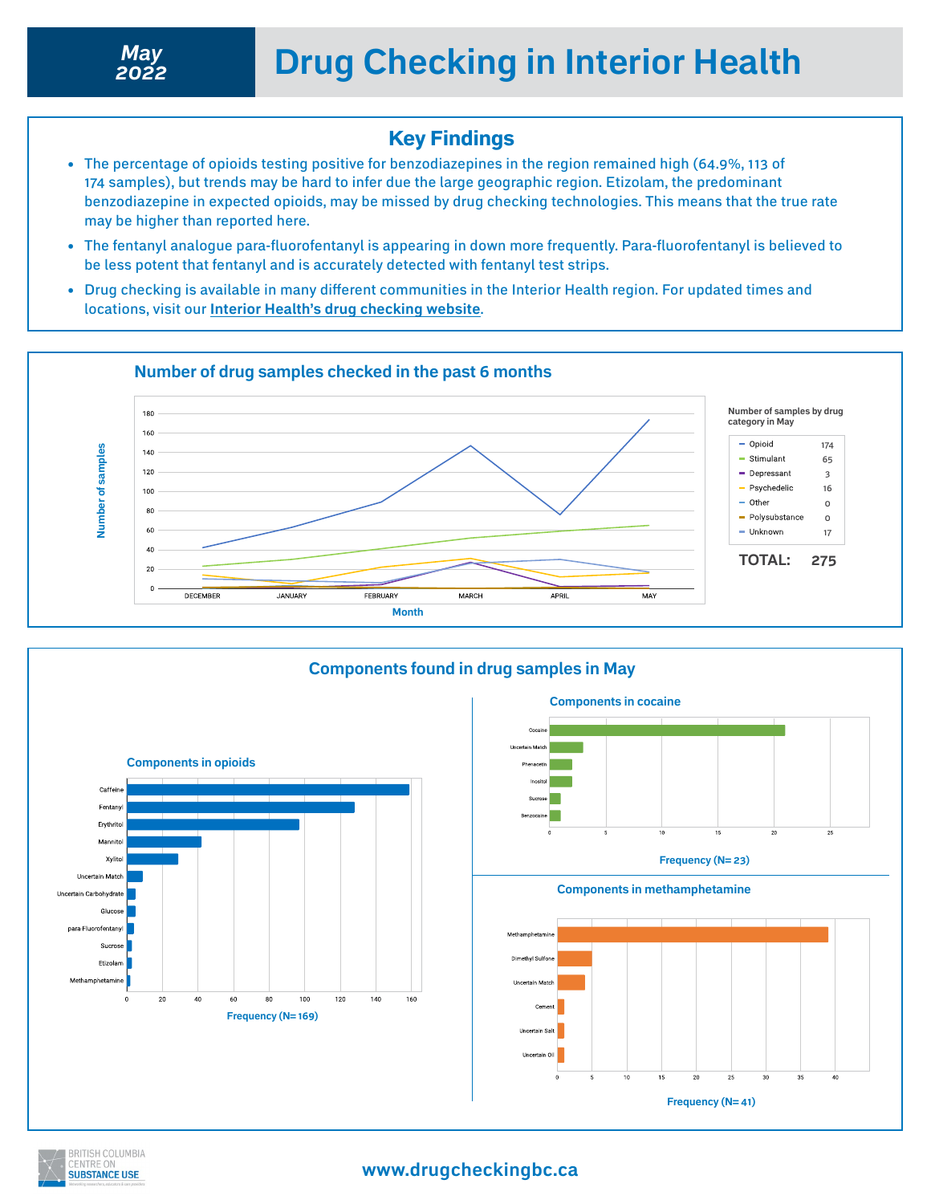### Key Findings

- The percentage of opioids testing positive for benzodiazepines in the region remained high (64.9%, 113 of 174 samples), but trends may be hard to infer due the large geographic region. Etizolam, the predominant benzodiazepine in expected opioids, may be missed by drug checking technologies. This means that the true rate may be higher than reported here.
- The fentanyl analogue para-fluorofentanyl is appearing in down more frequently. Para-fluorofentanyl is believed to be less potent that fentanyl and is accurately detected with fentanyl test strips.
- Drug checking is available in many different communities in the Interior Health region. For updated times and locations, visit our **[Interior Health's drug checking website](https://drugcheckingbc.ca/drug-checking-sites/interior-health/)**.





### **www.drugcheckingbc.ca**

**Frequency (N= 41)**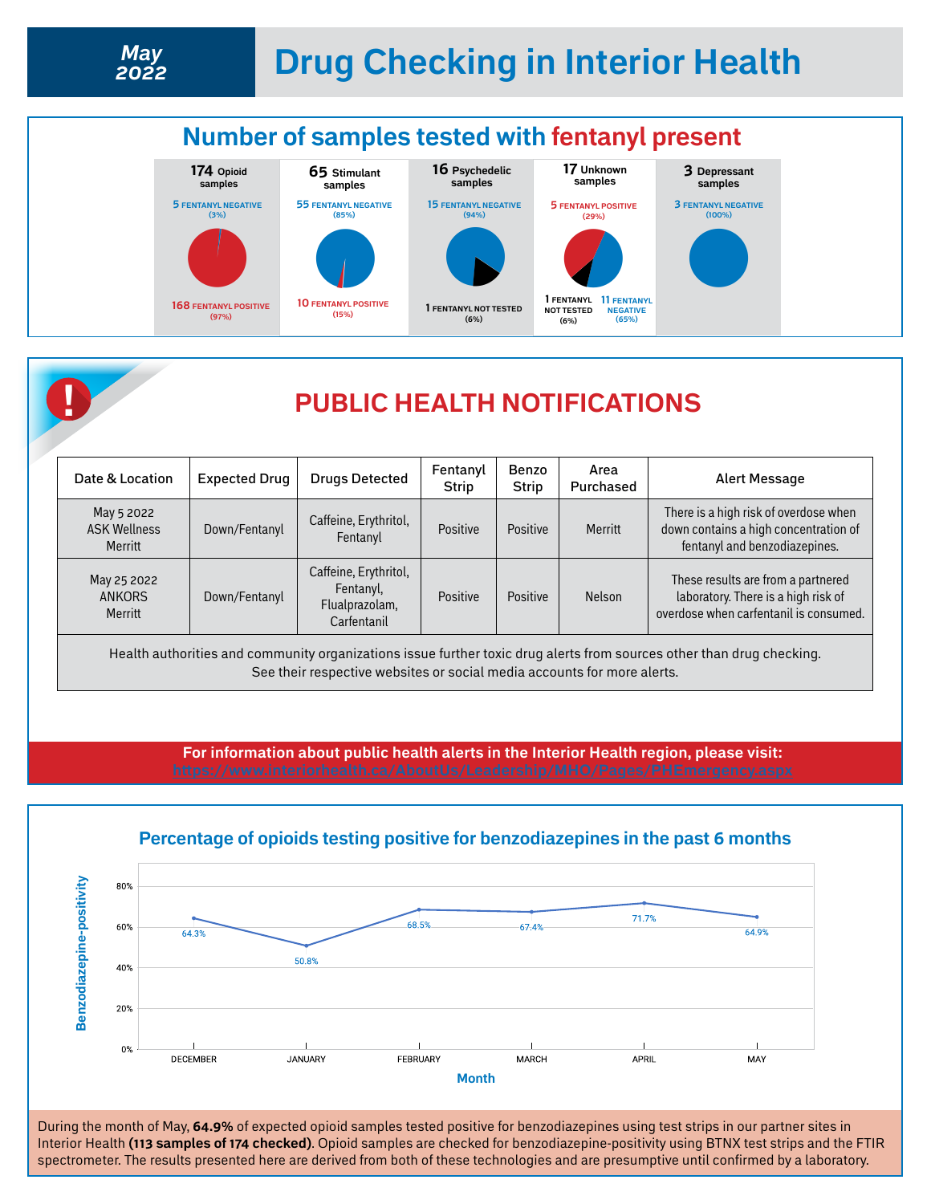



## **! PUBLIC HEALTH NOTIFICATIONS**

| Date & Location                              | <b>Expected Drug</b> | <b>Drugs Detected</b>                                               | Fentanyl<br><b>Strip</b> | Benzo<br><b>Strip</b> | Area<br>Purchased | Alert Message                                                                                                       |
|----------------------------------------------|----------------------|---------------------------------------------------------------------|--------------------------|-----------------------|-------------------|---------------------------------------------------------------------------------------------------------------------|
| May 5 2022<br><b>ASK Wellness</b><br>Merritt | Down/Fentanyl        | Caffeine, Erythritol,<br>Fentanyl                                   | Positive                 | Positive              | Merritt           | There is a high risk of overdose when<br>down contains a high concentration of<br>fentanyl and benzodiazepines.     |
| May 25 2022<br><b>ANKORS</b><br>Merritt      | Down/Fentanyl        | Caffeine, Erythritol,<br>Fentanyl,<br>Flualprazolam,<br>Carfentanil | Positive                 | Positive              | <b>Nelson</b>     | These results are from a partnered<br>laboratory. There is a high risk of<br>overdose when carfentanil is consumed. |

Health authorities and community organizations issue further toxic drug alerts from sources other than drug checking. See their respective websites or social media accounts for more alerts.

**For information about public health alerts in the Interior Health region, please visit:** 



#### **Percentage of opioids testing positive for benzodiazepines in the past 6 months**

During the month of May, **64.9%** of expected opioid samples tested positive for benzodiazepines using test strips in our partner sites in Interior Health **(113 samples of 174 checked)**. Opioid samples are checked for benzodiazepine-positivity using BTNX test strips and the FTIR spectrometer. The results presented here are derived from both of these technologies and are presumptive until confirmed by a laboratory.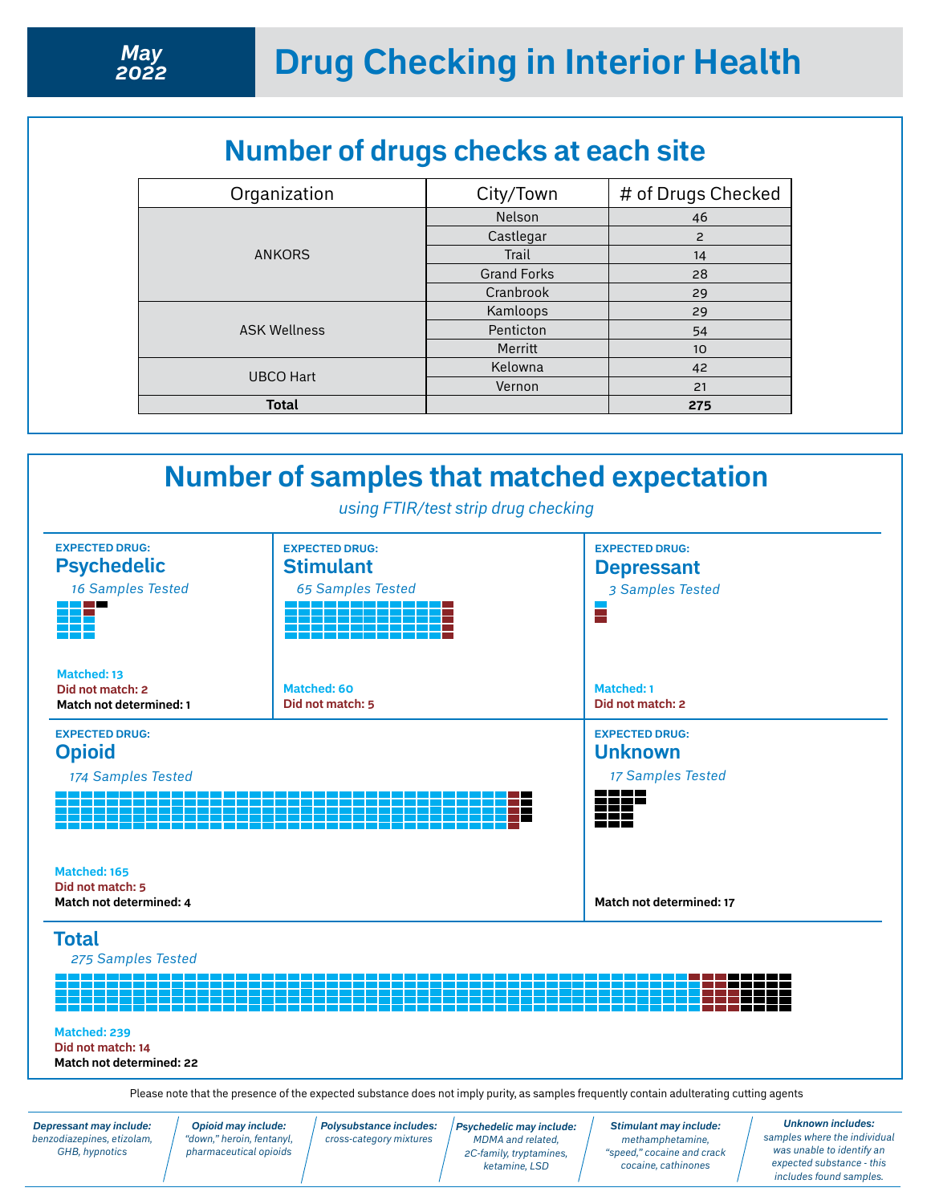# **Number of drugs checks at each site**

| City/Town          | # of Drugs Checked |
|--------------------|--------------------|
| <b>Nelson</b>      | 46                 |
| Castlegar          | $\overline{c}$     |
| Trail              | 14                 |
| <b>Grand Forks</b> | 28                 |
| Cranbrook          | 29                 |
| Kamloops           | 29                 |
| Penticton          | 54                 |
| Merritt            | 10                 |
| Kelowna            | 42                 |
| Vernon             | 21                 |
|                    | 275                |
|                    |                    |



*Depressant may include: benzodiazepines, etizolam, GHB, hypnotics*

*Opioid may include: "down," heroin, fentanyl, pharmaceutical opioids* *Polysubstance includes: cross-category mixtures*

*Psychedelic may include: MDMA and related, 2C-family, tryptamines, ketamine, LSD* 

*Stimulant may include: methamphetamine, "speed," cocaine and crack cocaine, cathinones*

*Unknown includes: samples where the individual was unable to identify an expected substance - this includes found samples.*